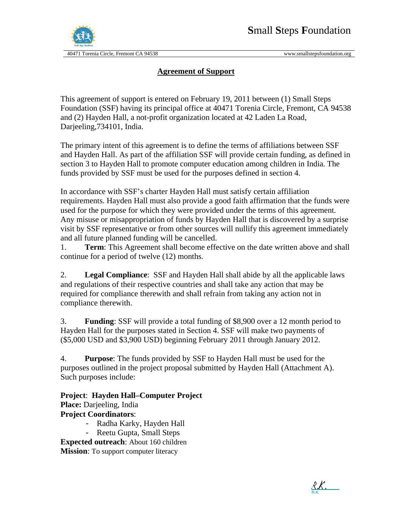

#### **Agreement of Support**

This agreement of support is entered on February 19, 2011 between (1) Small Steps Foundation (SSF) having its principal office at 40471 Torenia Circle, Fremont, CA 94538 and (2) Hayden Hall, a not-profit organization located at 42 Laden La Road, Darjeeling,734101, India.

The primary intent of this agreement is to define the terms of affiliations between SSF and Hayden Hall. As part of the affiliation SSF will provide certain funding, as defined in section 3 to Hayden Hall to promote computer education among children in India. The funds provided by SSF must be used for the purposes defined in section 4.

In accordance with SSF's charter Hayden Hall must satisfy certain affiliation requirements. Hayden Hall must also provide a good faith affirmation that the funds were used for the purpose for which they were provided under the terms of this agreement. Any misuse or misappropriation of funds by Hayden Hall that is discovered by a surprise visit by SSF representative or from other sources will nullify this agreement immediately and all future planned funding will be cancelled.

1. **Term**: This Agreement shall become effective on the date written above and shall continue for a period of twelve (12) months.

2. **Legal Compliance**: SSF and Hayden Hall shall abide by all the applicable laws and regulations of their respective countries and shall take any action that may be required for compliance therewith and shall refrain from taking any action not in compliance therewith.

3. **Funding**: SSF will provide a total funding of \$8,900 over a 12 month period to Hayden Hall for the purposes stated in Section 4. SSF will make two payments of (\$5,000 USD and \$3,900 USD) beginning February 2011 through January 2012.

4. **Purpose**: The funds provided by SSF to Hayden Hall must be used for the purposes outlined in the project proposal submitted by Hayden Hall (Attachment A). Such purposes include:

**Project**: **Hayden Hall–Computer Project Place:** Darjeeling, India **Project Coordinators**:

- Radha Karky, Hayden Hall
- Reetu Gupta, Small Steps

**Expected outreach**: About 160 children **Mission**: To support computer literacy

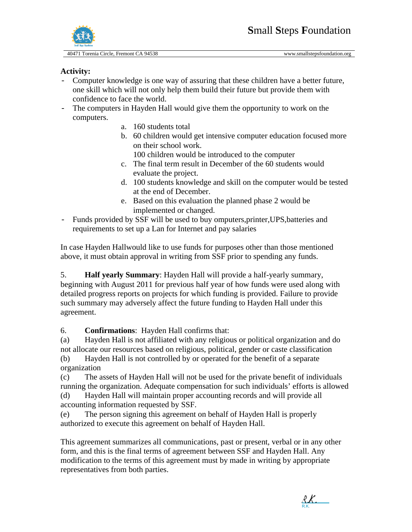

#### **Activity:**

- Computer knowledge is one way of assuring that these children have a better future, one skill which will not only help them build their future but provide them with confidence to face the world.
- The computers in Hayden Hall would give them the opportunity to work on the computers.
	- a. 160 students total
	- b. 60 children would get intensive computer education focused more on their school work.

100 children would be introduced to the computer

- c. The final term result in December of the 60 students would evaluate the project.
- d. 100 students knowledge and skill on the computer would be tested at the end of December.
- e. Based on this evaluation the planned phase 2 would be implemented or changed.
- Funds provided by SSF will be used to buy omputers,printer,UPS,batteries and requirements to set up a Lan for Internet and pay salaries

In case Hayden Hallwould like to use funds for purposes other than those mentioned above, it must obtain approval in writing from SSF prior to spending any funds.

5. **Half yearly Summary**: Hayden Hall will provide a half-yearly summary, beginning with August 2011 for previous half year of how funds were used along with detailed progress reports on projects for which funding is provided. Failure to provide such summary may adversely affect the future funding to Hayden Hall under this agreement.

6. **Confirmations**: Hayden Hall confirms that:

(a) Hayden Hall is not affiliated with any religious or political organization and do not allocate our resources based on religious, political, gender or caste classification

(b) Hayden Hall is not controlled by or operated for the benefit of a separate organization

(c) The assets of Hayden Hall will not be used for the private benefit of individuals running the organization. Adequate compensation for such individuals' efforts is allowed

(d) Hayden Hall will maintain proper accounting records and will provide all accounting information requested by SSF.

(e) The person signing this agreement on behalf of Hayden Hall is properly authorized to execute this agreement on behalf of Hayden Hall.

This agreement summarizes all communications, past or present, verbal or in any other form, and this is the final terms of agreement between SSF and Hayden Hall. Any modification to the terms of this agreement must by made in writing by appropriate representatives from both parties.

R.K. [R.K.](https://secure.echosign.com/verifier?tx=262VCB5F6FXF5H)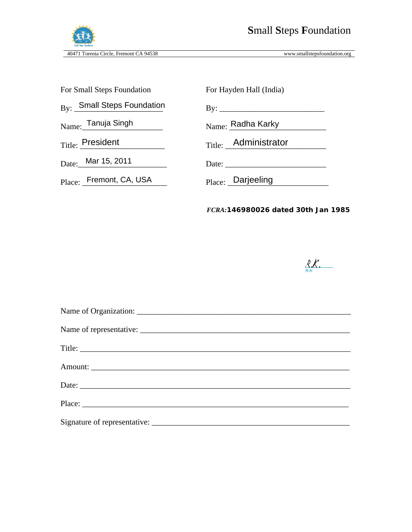

| For Small Steps Foundation           | For Hayden Hall (India)         |
|--------------------------------------|---------------------------------|
| $_{\rm{By:}}$ Small Steps Foundation | By: $\frac{1}{\sqrt{2\pi}}$     |
| Name: Tanuja Singh                   | $N$ <sub>ame:</sub> Radha Karky |
| $_{\mathrm{Title}:}$ President       | Title: Administrator            |
| Date: Mar 15, 2011                   |                                 |
| Place: Fremont, CA, USA              | Place: Darjeeling               |
|                                      |                                 |

*FCRA:146980026 dated 30th Jan 1985*



| Title: |
|--------|
|        |
|        |
| Place: |
|        |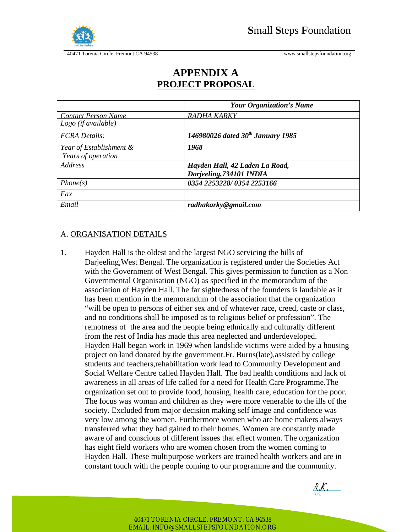

|                            | <b>Your Organization's Name</b>        |  |
|----------------------------|----------------------------------------|--|
| <b>Contact Person Name</b> | RADHA KARKY                            |  |
| $Logo$ (if available)      |                                        |  |
| <b>FCRA</b> Details:       | 146980026 dated $30^{th}$ January 1985 |  |
| Year of Establishment &    | 1968                                   |  |
| Years of operation         |                                        |  |
| Address                    | Hayden Hall, 42 Laden La Road,         |  |
|                            | Darjeeling, 734101 INDIA               |  |
| Phone(s)                   | 0354 2253228/0354 2253166              |  |
| Fax                        |                                        |  |
| Email                      | radhakarky@gmail.com                   |  |

### **APPENDIX A PROJECT PROPOSAL**

#### A. ORGANISATION DETAILS

1. Hayden Hall is the oldest and the largest NGO servicing the hills of Darjeeling,West Bengal. The organization is registered under the Societies Act with the Government of West Bengal. This gives permission to function as a Non Governmental Organisation (NGO) as specified in the memorandum of the association of Hayden Hall. The far sightedness of the founders is laudable as it has been mention in the memorandum of the association that the organization "will be open to persons of either sex and of whatever race, creed, caste or class, and no conditions shall be imposed as to religious belief or profession". The remotness of the area and the people being ethnically and culturally different from the rest of India has made this area neglected and underdeveloped. Hayden Hall began work in 1969 when landslide victims were aided by a housing project on land donated by the government.Fr. Burns(late),assisted by college students and teachers,rehabilitation work lead to Community Development and Social Welfare Centre called Hayden Hall. The bad health conditions and lack of awareness in all areas of life called for a need for Health Care Programme.The organization set out to provide food, housing, health care, education for the poor. The focus was woman and children as they were more venerable to the ills of the society. Excluded from major decision making self image and confidence was very low among the women. Furthermore women who are home makers always transferred what they had gained to their homes. Women are constantly made aware of and conscious of different issues that effect women. The organization has eight field workers who are women chosen from the women coming to Hayden Hall. These multipurpose workers are trained health workers and are in constant touch with the people coming to our programme and the community.

R.K. [R.K.](https://secure.echosign.com/verifier?tx=262VCB5F6FXF5H)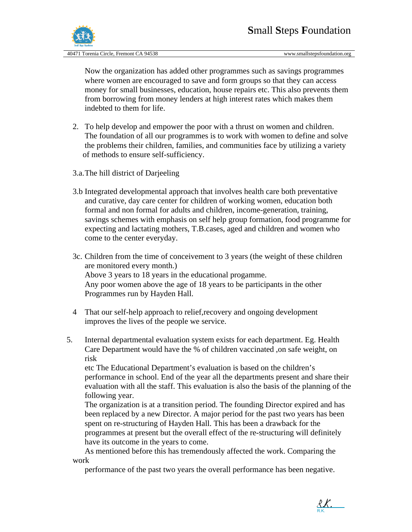

Now the organization has added other programmes such as savings programmes where women are encouraged to save and form groups so that they can access money for small businesses, education, house repairs etc. This also prevents them from borrowing from money lenders at high interest rates which makes them indebted to them for life.

- 2. To help develop and empower the poor with a thrust on women and children. The foundation of all our programmes is to work with women to define and solve the problems their children, families, and communities face by utilizing a variety of methods to ensure self-sufficiency.
- 3.a.The hill district of Darjeeling
- 3.b Integrated developmental approach that involves health care both preventative and curative, day care center for children of working women, education both formal and non formal for adults and children, income-generation, training, savings schemes with emphasis on self help group formation, food programme for expecting and lactating mothers, T.B.cases, aged and children and women who come to the center everyday.
- 3c. Children from the time of conceivement to 3 years (the weight of these children are monitored every month.) Above 3 years to 18 years in the educational progamme. Any poor women above the age of 18 years to be participants in the other Programmes run by Hayden Hall.
- 4 That our self-help approach to relief,recovery and ongoing development improves the lives of the people we service.
- 5. Internal departmental evaluation system exists for each department. Eg. Health Care Department would have the % of children vaccinated ,on safe weight, on risk

etc The Educational Department's evaluation is based on the children's performance in school. End of the year all the departments present and share their evaluation with all the staff. This evaluation is also the basis of the planning of the following year.

 The organization is at a transition period. The founding Director expired and has been replaced by a new Director. A major period for the past two years has been spent on re-structuring of Hayden Hall. This has been a drawback for the programmes at present but the overall effect of the re-structuring will definitely have its outcome in the years to come.

As mentioned before this has tremendously affected the work. Comparing the work

performance of the past two years the overall performance has been negative.

R.K. [R.K.](https://secure.echosign.com/verifier?tx=262VCB5F6FXF5H)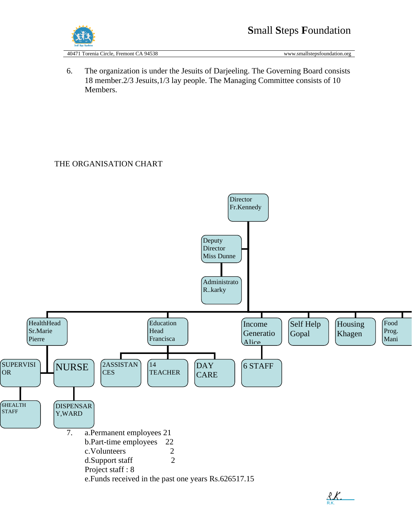

6. The organization is under the Jesuits of Darjeeling. The Governing Board consists 18 member.2/3 Jesuits,1/3 lay people. The Managing Committee consists of 10 Members.

#### THE ORGANISATION CHART

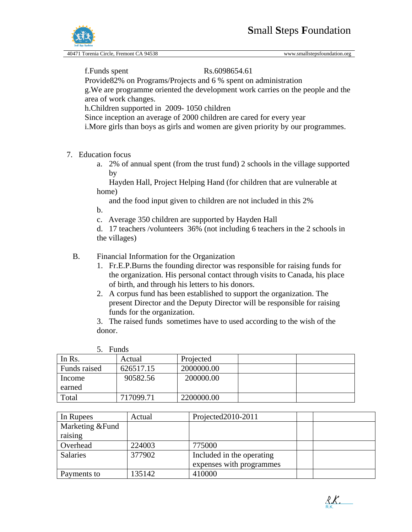

f. Funds spent Rs.6098654.61

Provide82% on Programs/Projects and 6 % spent on administration g.We are programme oriented the development work carries on the people and the area of work changes.

h.Children supported in 2009- 1050 children

Since inception an average of 2000 children are cared for every year

i.More girls than boys as girls and women are given priority by our programmes.

- 7. Education focus
	- a. 2% of annual spent (from the trust fund) 2 schools in the village supported by

 Hayden Hall, Project Helping Hand (for children that are vulnerable at home)

and the food input given to children are not included in this 2%

b.

 $\mathbf{F}$   $\mathbf{F}$ 

c. Average 350 children are supported by Hayden Hall

d. 17 teachers /volunteers 36% (not including 6 teachers in the 2 schools in the villages)

#### B. Financial Information for the Organization

- 1. Fr.E.P.Burns the founding director was responsible for raising funds for the organization. His personal contact through visits to Canada, his place of birth, and through his letters to his donors.
- 2. A corpus fund has been established to support the organization. The present Director and the Deputy Director will be responsible for raising funds for the organization.

3. The raised funds sometimes have to used according to the wish of the donor.

|              | <b>Funds</b> |            |  |
|--------------|--------------|------------|--|
| In Rs.       | Actual       | Projected  |  |
| Funds raised | 626517.15    | 2000000.00 |  |
| Income       | 90582.56     | 200000.00  |  |
| earned       |              |            |  |
| Total        | 717099.71    | 2200000.00 |  |

| In Rupees        | Actual | Projected2010-2011        |  |
|------------------|--------|---------------------------|--|
| Marketing & Fund |        |                           |  |
| raising          |        |                           |  |
| Overhead         | 224003 | 775000                    |  |
| <b>Salaries</b>  | 377902 | Included in the operating |  |
|                  |        | expenses with programmes  |  |
| Payments to      | 135142 | 410000                    |  |

R.K. [R.K.](https://secure.echosign.com/verifier?tx=262VCB5F6FXF5H)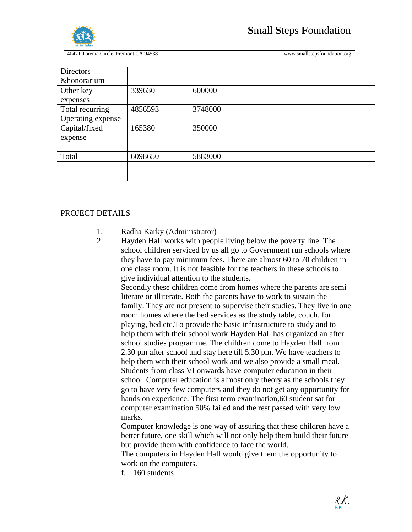

| 339630  | 600000  |  |
|---------|---------|--|
|         |         |  |
| 4856593 | 3748000 |  |
|         |         |  |
| 165380  | 350000  |  |
|         |         |  |
|         |         |  |
| 6098650 | 5883000 |  |
|         |         |  |
|         |         |  |
|         |         |  |

#### PROJECT DETAILS

- 1. Radha Karky (Administrator)
- 2. Hayden Hall works with people living below the poverty line. The school children serviced by us all go to Government run schools where they have to pay minimum fees. There are almost 60 to 70 children in one class room. It is not feasible for the teachers in these schools to give individual attention to the students.

Secondly these children come from homes where the parents are semi literate or illiterate. Both the parents have to work to sustain the family. They are not present to supervise their studies. They live in one room homes where the bed services as the study table, couch, for playing, bed etc.To provide the basic infrastructure to study and to help them with their school work Hayden Hall has organized an after school studies programme. The children come to Hayden Hall from 2.30 pm after school and stay here till 5.30 pm. We have teachers to help them with their school work and we also provide a small meal. Students from class VI onwards have computer education in their school. Computer education is almost only theory as the schools they go to have very few computers and they do not get any opportunity for hands on experience. The first term examination,60 student sat for computer examination 50% failed and the rest passed with very low marks.

Computer knowledge is one way of assuring that these children have a better future, one skill which will not only help them build their future but provide them with confidence to face the world.

The computers in Hayden Hall would give them the opportunity to work on the computers.

f. 160 students

R.K. [R.K.](https://secure.echosign.com/verifier?tx=262VCB5F6FXF5H)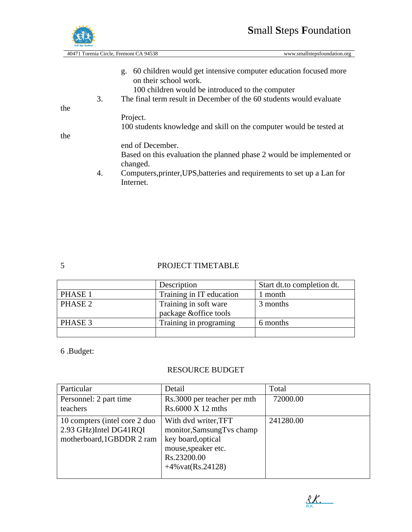## **S**mall **S**teps **F**oundation



40471 Torenia Circle, Fremont CA 94538 www.smallstepsfoundation.org

g. 60 children would get intensive computer education focused more

the

the

#### 5 PROJECT TIMETABLE

|         | Description                                     | Start dt.to completion dt. |
|---------|-------------------------------------------------|----------------------------|
| PHASE 1 | Training in IT education                        | 1 month                    |
| PHASE 2 | Training in soft ware<br>package & office tools | 3 months                   |
| PHASE 3 | Training in programing                          | 6 months                   |
|         |                                                 |                            |

6 .Budget:

#### RESOURCE BUDGET

| Particular                                                                           | Detail                                                                                                                                        | Total     |
|--------------------------------------------------------------------------------------|-----------------------------------------------------------------------------------------------------------------------------------------------|-----------|
| Personnel: 2 part time<br>teachers                                                   | Rs.3000 per teacher per mth<br>Rs.6000 X 12 mths                                                                                              | 72000.00  |
| 10 compters (intel core 2 duo<br>2.93 GHz)Intel DG41RQI<br>motherboard, 1GBDDR 2 ram | With dvd writer, TFT<br>monitor, Samsung Tvs champ<br>key board, optical<br>mouse, speaker etc.<br>Rs.23200.00<br>$+4\% \text{vat}(Rs.24128)$ | 241280.00 |

[R.K.](https://secure.echosign.com/verifier?tx=262VCB5F6FXF5H)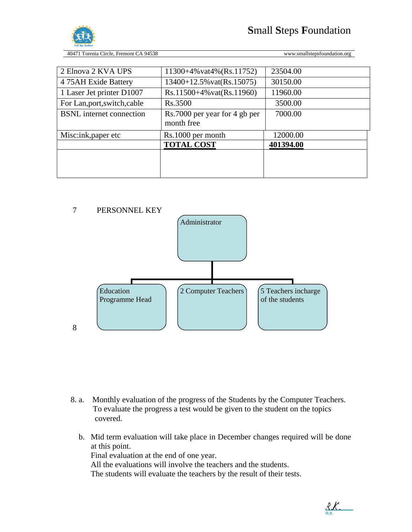

| 2 Elnova 2 KVA UPS              | $11300+4\%$ vat $4\%$ (Rs.11752) | 23504.00  |  |
|---------------------------------|----------------------------------|-----------|--|
| 4 75AH Exide Battery            | $13400+12.5\%$ vat(Rs.15075)     | 30150.00  |  |
| 1 Laser Jet printer D1007       | $Rs.11500+4\%$ vat $(Rs.11960)$  | 11960.00  |  |
| For Lan, port, switch, cable    | Rs.3500                          | 3500.00   |  |
| <b>BSNL</b> internet connection | Rs.7000 per year for 4 gb per    | 7000.00   |  |
|                                 | month free                       |           |  |
| Misc:ink, paper etc             | Rs.1000 per month                | 12000.00  |  |
|                                 |                                  |           |  |
|                                 | <b>TOTAL COST</b>                | 401394.00 |  |
|                                 |                                  |           |  |
|                                 |                                  |           |  |



- 8. a. Monthly evaluation of the progress of the Students by the Computer Teachers. To evaluate the progress a test would be given to the student on the topics covered.
	- b. Mid term evaluation will take place in December changes required will be done at this point. Final evaluation at the end of one year. All the evaluations will involve the teachers and the students. The students will evaluate the teachers by the result of their tests.

R.K. [R.K.](https://secure.echosign.com/verifier?tx=262VCB5F6FXF5H)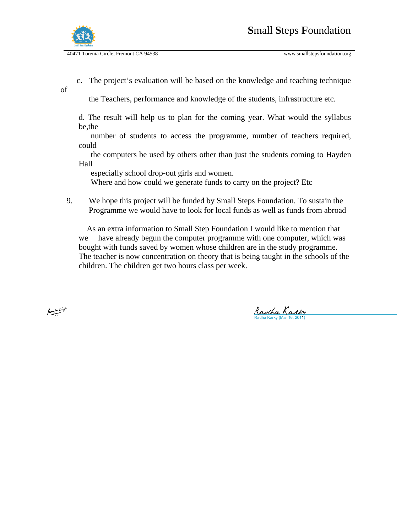

of

c. The project's evaluation will be based on the knowledge and teaching technique

the Teachers, performance and knowledge of the students, infrastructure etc.

d. The result will help us to plan for the coming year. What would the syllabus be,the

 number of students to access the programme, number of teachers required, could

 the computers be used by others other than just the students coming to Hayden Hall

especially school drop-out girls and women.

Where and how could we generate funds to carry on the project? Etc

9. We hope this project will be funded by Small Steps Foundation. To sustain the Programme we would have to look for local funds as well as funds from abroad

 As an extra information to Small Step Foundation I would like to mention that we have already begun the computer programme with one computer, which was bought with funds saved by women whose children are in the study programme. The teacher is now concentration on theory that is being taught in the schools of the children. The children get two hours class per week.

 $f_{\text{max}} = f$ 

[Radha Karky](https://secure.echosign.com/verifier?tx=262VCB5F6FXF5H)<br><sup>Radha Karky (Mar 16, 2011</sup>)